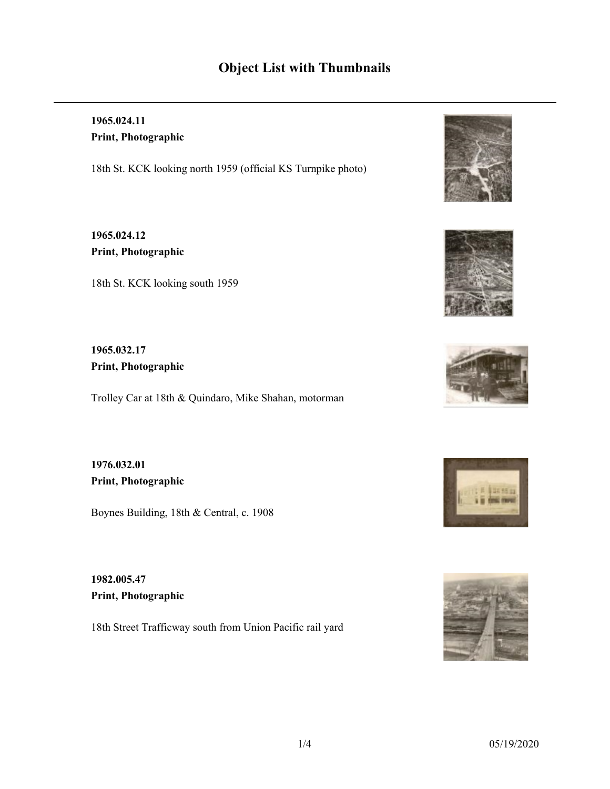# **Object List with Thumbnails**

# **1965.024.11 Print, Photographic**

18th St. KCK looking north 1959 (official KS Turnpike photo)

**1965.024.12 Print, Photographic**

18th St. KCK looking south 1959

## **1965.032.17 Print, Photographic**

Trolley Car at 18th & Quindaro, Mike Shahan, motorman

**1976.032.01 Print, Photographic**

Boynes Building, 18th & Central, c. 1908

**1982.005.47 Print, Photographic**

18th Street Trafficway south from Union Pacific rail yard









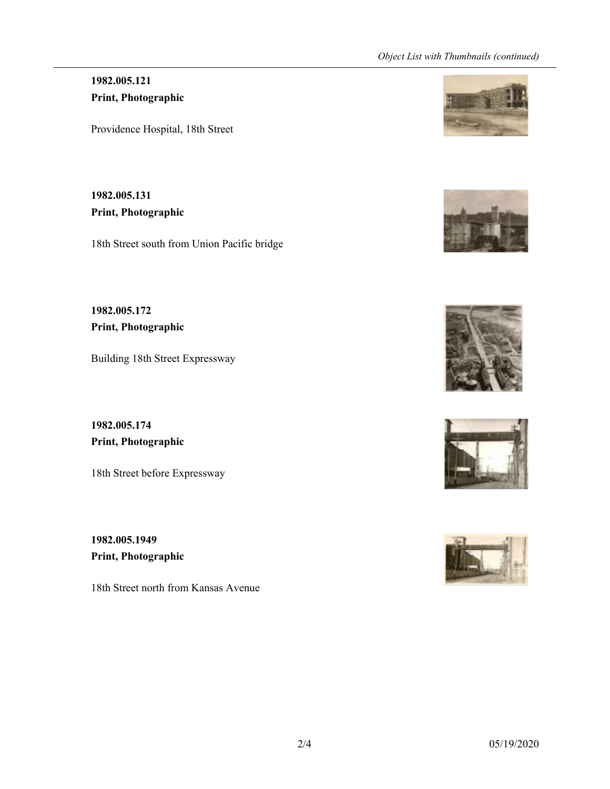#### *Object List with Thumbnails (continued)*

## **1982.005.121 Print, Photographic**

Providence Hospital, 18th Street

**1982.005.131 Print, Photographic**

18th Street south from Union Pacific bridge

**1982.005.172 Print, Photographic**

Building 18th Street Expressway

**1982.005.174 Print, Photographic**

18th Street before Expressway

**1982.005.1949 Print, Photographic**

18th Street north from Kansas Avenue









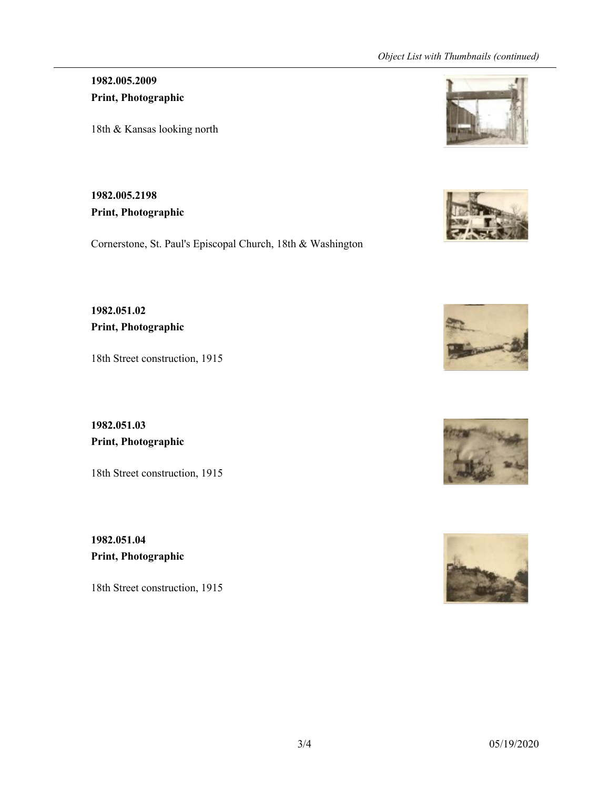#### *Object List with Thumbnails (continued)*

**1982.005.2009 Print, Photographic**

18th & Kansas looking north

**1982.005.2198 Print, Photographic**

Cornerstone, St. Paul's Episcopal Church, 18th & Washington

**1982.051.02 Print, Photographic**

18th Street construction, 1915

**1982.051.03 Print, Photographic**

18th Street construction, 1915

**1982.051.04 Print, Photographic**

18th Street construction, 1915